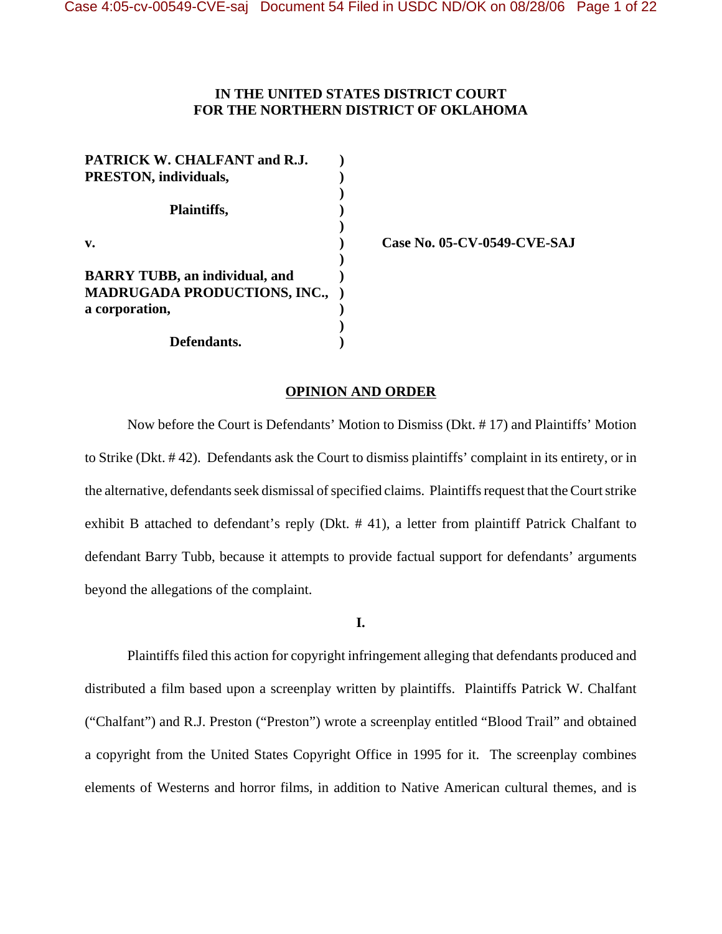# **IN THE UNITED STATES DISTRICT COURT FOR THE NORTHERN DISTRICT OF OKLAHOMA**

| PATRICK W. CHALFANT and R.J.          |  |
|---------------------------------------|--|
| PRESTON, individuals,                 |  |
|                                       |  |
| Plaintiffs,                           |  |
|                                       |  |
| v.                                    |  |
|                                       |  |
| <b>BARRY TUBB, an individual, and</b> |  |
| <b>MADRUGADA PRODUCTIONS, INC.,</b>   |  |
| a corporation,                        |  |
|                                       |  |
| Defendants.                           |  |

**v. ) Case No. 05-CV-0549-CVE-SAJ**

#### **OPINION AND ORDER**

Now before the Court is Defendants' Motion to Dismiss (Dkt. # 17) and Plaintiffs' Motion to Strike (Dkt. # 42). Defendants ask the Court to dismiss plaintiffs' complaint in its entirety, or in the alternative, defendants seek dismissal of specified claims. Plaintiffs request that the Court strike exhibit B attached to defendant's reply (Dkt. # 41), a letter from plaintiff Patrick Chalfant to defendant Barry Tubb, because it attempts to provide factual support for defendants' arguments beyond the allegations of the complaint.

**I.**

Plaintiffs filed this action for copyright infringement alleging that defendants produced and distributed a film based upon a screenplay written by plaintiffs. Plaintiffs Patrick W. Chalfant ("Chalfant") and R.J. Preston ("Preston") wrote a screenplay entitled "Blood Trail" and obtained a copyright from the United States Copyright Office in 1995 for it. The screenplay combines elements of Westerns and horror films, in addition to Native American cultural themes, and is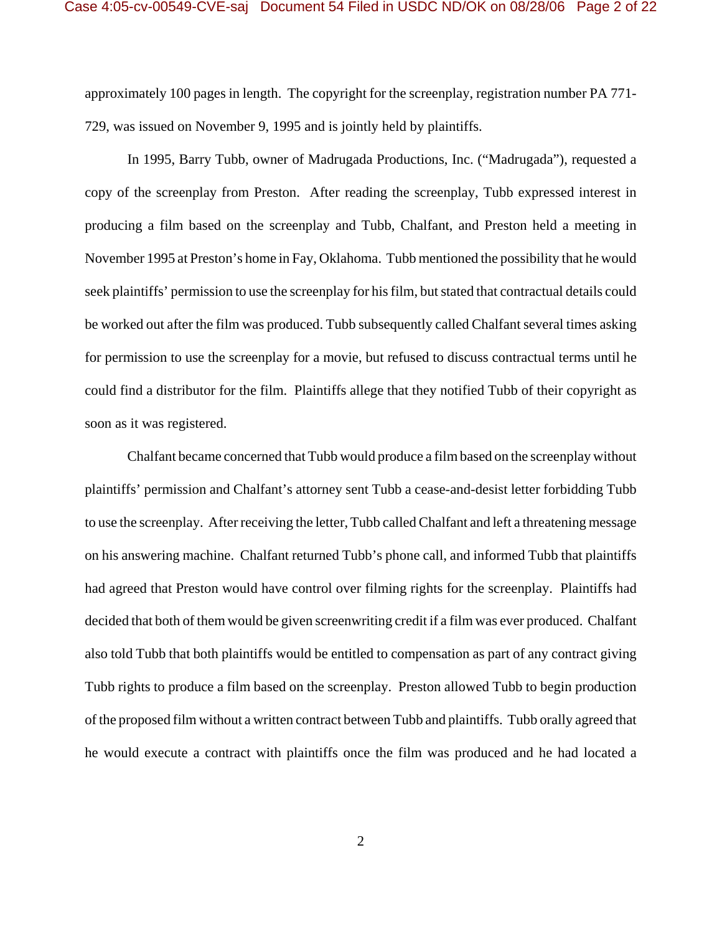approximately 100 pages in length. The copyright for the screenplay, registration number PA 771- 729, was issued on November 9, 1995 and is jointly held by plaintiffs.

In 1995, Barry Tubb, owner of Madrugada Productions, Inc. ("Madrugada"), requested a copy of the screenplay from Preston. After reading the screenplay, Tubb expressed interest in producing a film based on the screenplay and Tubb, Chalfant, and Preston held a meeting in November 1995 at Preston's home in Fay, Oklahoma. Tubb mentioned the possibility that he would seek plaintiffs' permission to use the screenplay for his film, but stated that contractual details could be worked out after the film was produced. Tubb subsequently called Chalfant several times asking for permission to use the screenplay for a movie, but refused to discuss contractual terms until he could find a distributor for the film. Plaintiffs allege that they notified Tubb of their copyright as soon as it was registered.

Chalfant became concerned that Tubb would produce a film based on the screenplay without plaintiffs' permission and Chalfant's attorney sent Tubb a cease-and-desist letter forbidding Tubb to use the screenplay. After receiving the letter, Tubb called Chalfant and left a threatening message on his answering machine. Chalfant returned Tubb's phone call, and informed Tubb that plaintiffs had agreed that Preston would have control over filming rights for the screenplay. Plaintiffs had decided that both of them would be given screenwriting credit if a film was ever produced. Chalfant also told Tubb that both plaintiffs would be entitled to compensation as part of any contract giving Tubb rights to produce a film based on the screenplay. Preston allowed Tubb to begin production of the proposed film without a written contract between Tubb and plaintiffs. Tubb orally agreed that he would execute a contract with plaintiffs once the film was produced and he had located a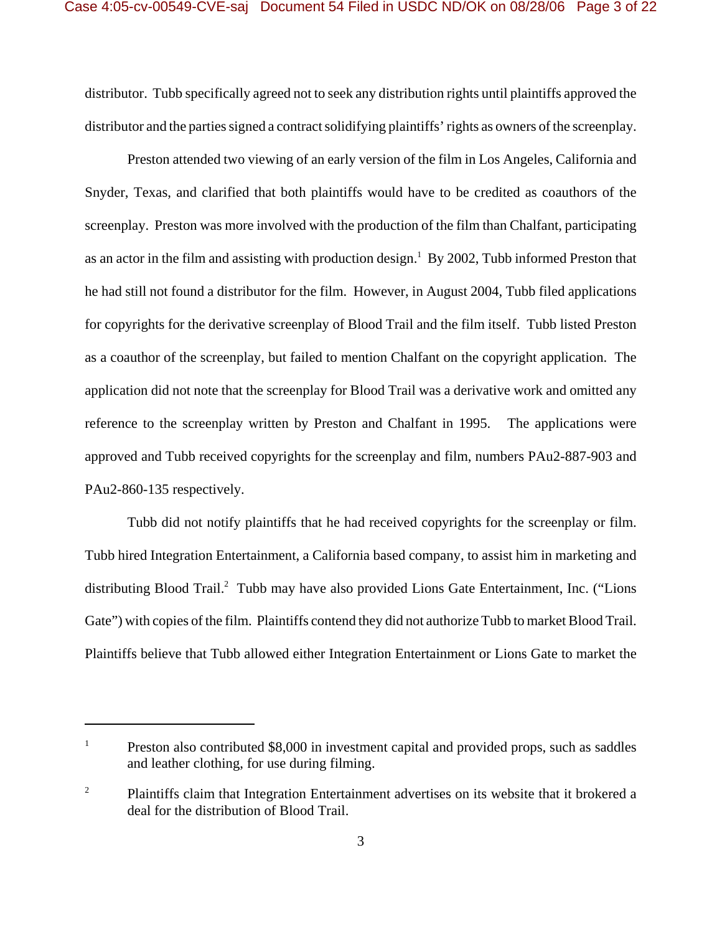distributor. Tubb specifically agreed not to seek any distribution rights until plaintiffs approved the distributor and the parties signed a contract solidifying plaintiffs' rights as owners of the screenplay.

Preston attended two viewing of an early version of the film in Los Angeles, California and Snyder, Texas, and clarified that both plaintiffs would have to be credited as coauthors of the screenplay. Preston was more involved with the production of the film than Chalfant, participating as an actor in the film and assisting with production design.<sup>1</sup> By 2002, Tubb informed Preston that he had still not found a distributor for the film. However, in August 2004, Tubb filed applications for copyrights for the derivative screenplay of Blood Trail and the film itself. Tubb listed Preston as a coauthor of the screenplay, but failed to mention Chalfant on the copyright application. The application did not note that the screenplay for Blood Trail was a derivative work and omitted any reference to the screenplay written by Preston and Chalfant in 1995. The applications were approved and Tubb received copyrights for the screenplay and film, numbers PAu2-887-903 and PAu2-860-135 respectively.

Tubb did not notify plaintiffs that he had received copyrights for the screenplay or film. Tubb hired Integration Entertainment, a California based company, to assist him in marketing and distributing Blood Trail.<sup>2</sup> Tubb may have also provided Lions Gate Entertainment, Inc. ("Lions Gate") with copies of the film. Plaintiffs contend they did not authorize Tubb to market Blood Trail. Plaintiffs believe that Tubb allowed either Integration Entertainment or Lions Gate to market the

<sup>&</sup>lt;sup>1</sup> Preston also contributed \$8,000 in investment capital and provided props, such as saddles and leather clothing, for use during filming.

<sup>&</sup>lt;sup>2</sup> Plaintiffs claim that Integration Entertainment advertises on its website that it brokered a deal for the distribution of Blood Trail.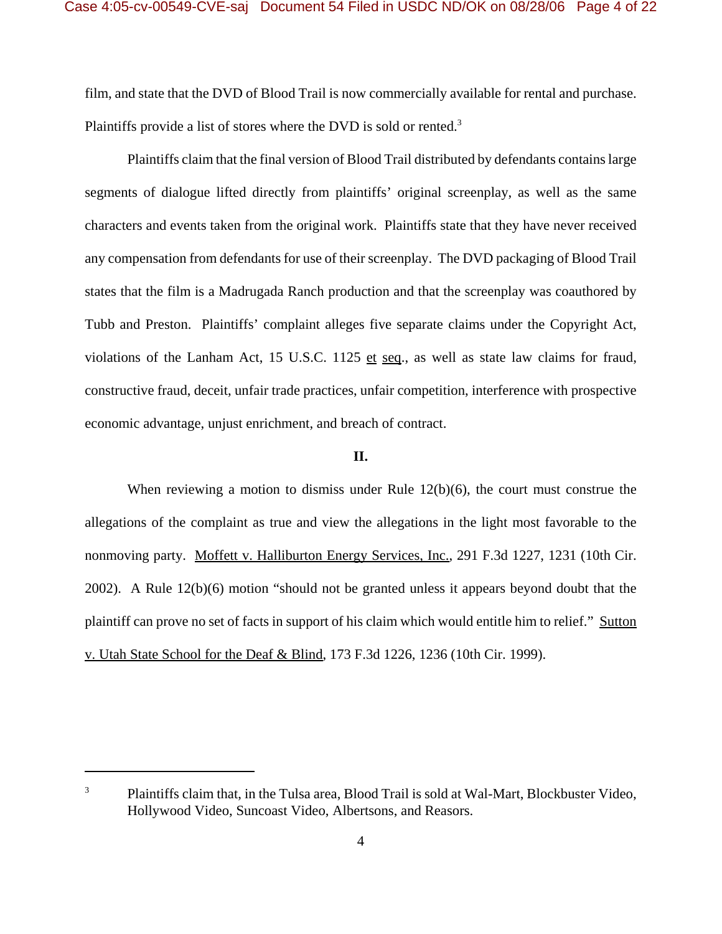film, and state that the DVD of Blood Trail is now commercially available for rental and purchase. Plaintiffs provide a list of stores where the DVD is sold or rented.<sup>3</sup>

Plaintiffs claim that the final version of Blood Trail distributed by defendants contains large segments of dialogue lifted directly from plaintiffs' original screenplay, as well as the same characters and events taken from the original work. Plaintiffs state that they have never received any compensation from defendants for use of their screenplay. The DVD packaging of Blood Trail states that the film is a Madrugada Ranch production and that the screenplay was coauthored by Tubb and Preston. Plaintiffs' complaint alleges five separate claims under the Copyright Act, violations of the Lanham Act, 15 U.S.C. 1125 et seq., as well as state law claims for fraud, constructive fraud, deceit, unfair trade practices, unfair competition, interference with prospective economic advantage, unjust enrichment, and breach of contract.

# **II.**

When reviewing a motion to dismiss under Rule 12(b)(6), the court must construe the allegations of the complaint as true and view the allegations in the light most favorable to the nonmoving party. Moffett v. Halliburton Energy Services, Inc., 291 F.3d 1227, 1231 (10th Cir. 2002). A Rule 12(b)(6) motion "should not be granted unless it appears beyond doubt that the plaintiff can prove no set of facts in support of his claim which would entitle him to relief." Sutton v. Utah State School for the Deaf & Blind, 173 F.3d 1226, 1236 (10th Cir. 1999).

<sup>&</sup>lt;sup>3</sup> Plaintiffs claim that, in the Tulsa area, Blood Trail is sold at Wal-Mart, Blockbuster Video, Hollywood Video, Suncoast Video, Albertsons, and Reasors.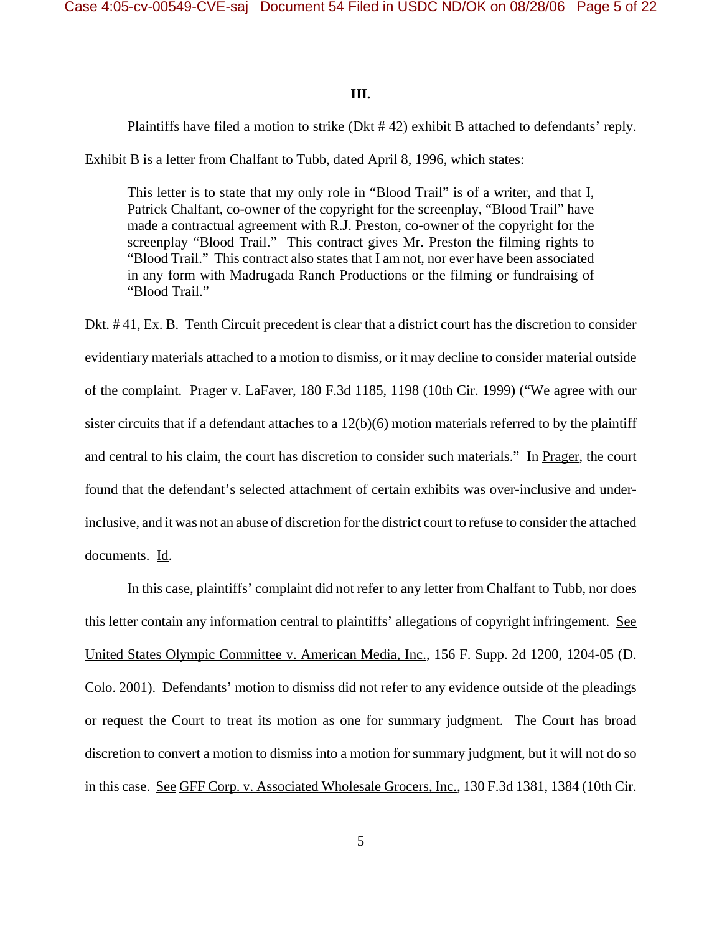# **III.**

Plaintiffs have filed a motion to strike (Dkt # 42) exhibit B attached to defendants' reply.

Exhibit B is a letter from Chalfant to Tubb, dated April 8, 1996, which states:

This letter is to state that my only role in "Blood Trail" is of a writer, and that I, Patrick Chalfant, co-owner of the copyright for the screenplay, "Blood Trail" have made a contractual agreement with R.J. Preston, co-owner of the copyright for the screenplay "Blood Trail." This contract gives Mr. Preston the filming rights to "Blood Trail." This contract also states that I am not, nor ever have been associated in any form with Madrugada Ranch Productions or the filming or fundraising of "Blood Trail."

Dkt. # 41, Ex. B. Tenth Circuit precedent is clear that a district court has the discretion to consider evidentiary materials attached to a motion to dismiss, or it may decline to consider material outside of the complaint. Prager v. LaFaver, 180 F.3d 1185, 1198 (10th Cir. 1999) ("We agree with our sister circuits that if a defendant attaches to a 12(b)(6) motion materials referred to by the plaintiff and central to his claim, the court has discretion to consider such materials." In Prager, the court found that the defendant's selected attachment of certain exhibits was over-inclusive and underinclusive, and it was not an abuse of discretion for the district court to refuse to consider the attached documents. Id.

In this case, plaintiffs' complaint did not refer to any letter from Chalfant to Tubb, nor does this letter contain any information central to plaintiffs' allegations of copyright infringement. See United States Olympic Committee v. American Media, Inc., 156 F. Supp. 2d 1200, 1204-05 (D. Colo. 2001). Defendants' motion to dismiss did not refer to any evidence outside of the pleadings or request the Court to treat its motion as one for summary judgment. The Court has broad discretion to convert a motion to dismiss into a motion for summary judgment, but it will not do so in this case. See GFF Corp. v. Associated Wholesale Grocers, Inc., 130 F.3d 1381, 1384 (10th Cir.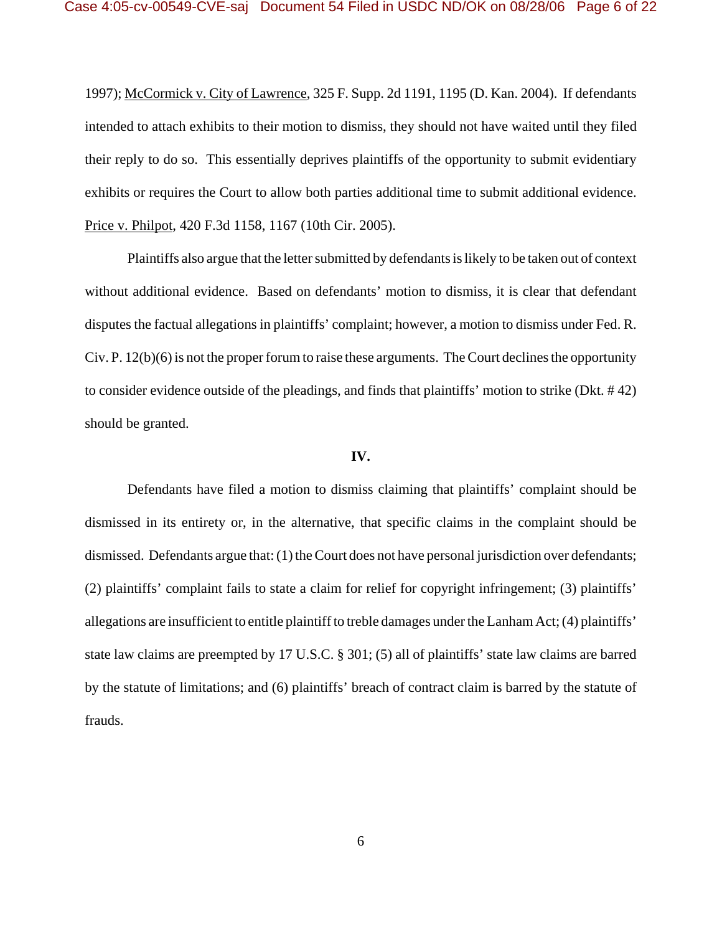1997); McCormick v. City of Lawrence, 325 F. Supp. 2d 1191, 1195 (D. Kan. 2004). If defendants intended to attach exhibits to their motion to dismiss, they should not have waited until they filed their reply to do so. This essentially deprives plaintiffs of the opportunity to submit evidentiary exhibits or requires the Court to allow both parties additional time to submit additional evidence. Price v. Philpot, 420 F.3d 1158, 1167 (10th Cir. 2005).

Plaintiffs also argue that the letter submitted by defendants is likely to be taken out of context without additional evidence. Based on defendants' motion to dismiss, it is clear that defendant disputes the factual allegations in plaintiffs' complaint; however, a motion to dismiss under Fed. R. Civ. P. 12(b)(6) is not the proper forum to raise these arguments. The Court declines the opportunity to consider evidence outside of the pleadings, and finds that plaintiffs' motion to strike (Dkt. # 42) should be granted.

## **IV.**

Defendants have filed a motion to dismiss claiming that plaintiffs' complaint should be dismissed in its entirety or, in the alternative, that specific claims in the complaint should be dismissed. Defendants argue that: (1) the Court does not have personal jurisdiction over defendants; (2) plaintiffs' complaint fails to state a claim for relief for copyright infringement; (3) plaintiffs' allegations are insufficient to entitle plaintiff to treble damages under the Lanham Act; (4) plaintiffs' state law claims are preempted by 17 U.S.C. § 301; (5) all of plaintiffs' state law claims are barred by the statute of limitations; and (6) plaintiffs' breach of contract claim is barred by the statute of frauds.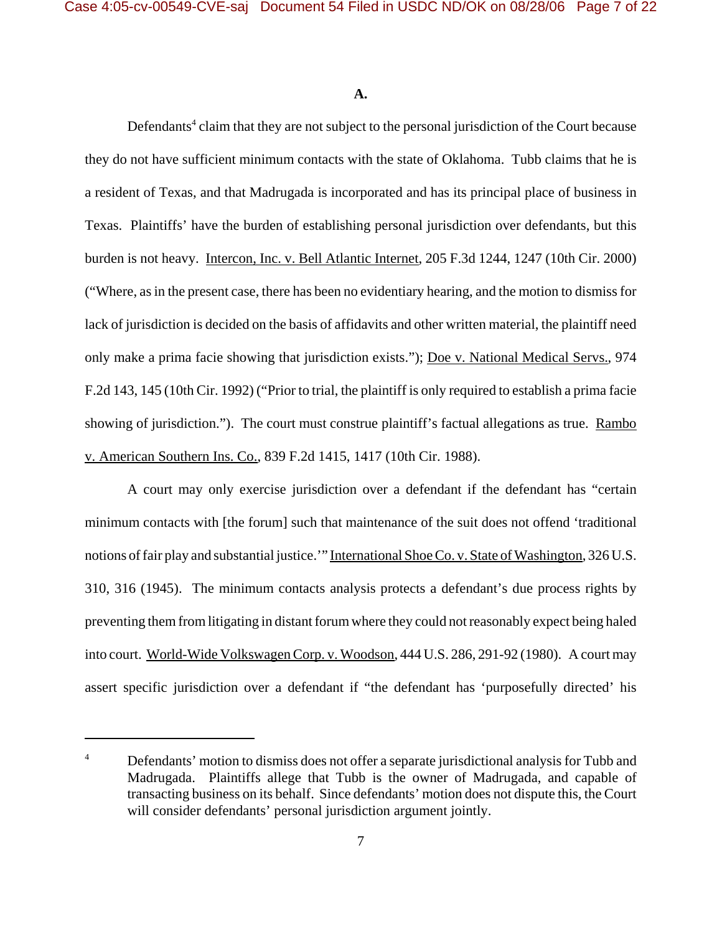**A.**

Defendants<sup>4</sup> claim that they are not subject to the personal jurisdiction of the Court because they do not have sufficient minimum contacts with the state of Oklahoma. Tubb claims that he is a resident of Texas, and that Madrugada is incorporated and has its principal place of business in Texas. Plaintiffs' have the burden of establishing personal jurisdiction over defendants, but this burden is not heavy. Intercon, Inc. v. Bell Atlantic Internet, 205 F.3d 1244, 1247 (10th Cir. 2000) ("Where, as in the present case, there has been no evidentiary hearing, and the motion to dismiss for lack of jurisdiction is decided on the basis of affidavits and other written material, the plaintiff need only make a prima facie showing that jurisdiction exists."); Doe v. National Medical Servs., 974 F.2d 143, 145 (10th Cir. 1992) ("Prior to trial, the plaintiff is only required to establish a prima facie showing of jurisdiction."). The court must construe plaintiff's factual allegations as true. Rambo v. American Southern Ins. Co., 839 F.2d 1415, 1417 (10th Cir. 1988).

A court may only exercise jurisdiction over a defendant if the defendant has "certain minimum contacts with [the forum] such that maintenance of the suit does not offend 'traditional notions of fair play and substantial justice.'" International Shoe Co. v. State of Washington, 326 U.S. 310, 316 (1945). The minimum contacts analysis protects a defendant's due process rights by preventing them from litigating in distant forum where they could not reasonably expect being haled into court. World-Wide Volkswagen Corp. v. Woodson, 444 U.S. 286, 291-92 (1980). A court may assert specific jurisdiction over a defendant if "the defendant has 'purposefully directed' his

<sup>&</sup>lt;sup>4</sup> Defendants' motion to dismiss does not offer a separate jurisdictional analysis for Tubb and Madrugada. Plaintiffs allege that Tubb is the owner of Madrugada, and capable of transacting business on its behalf. Since defendants' motion does not dispute this, the Court will consider defendants' personal jurisdiction argument jointly.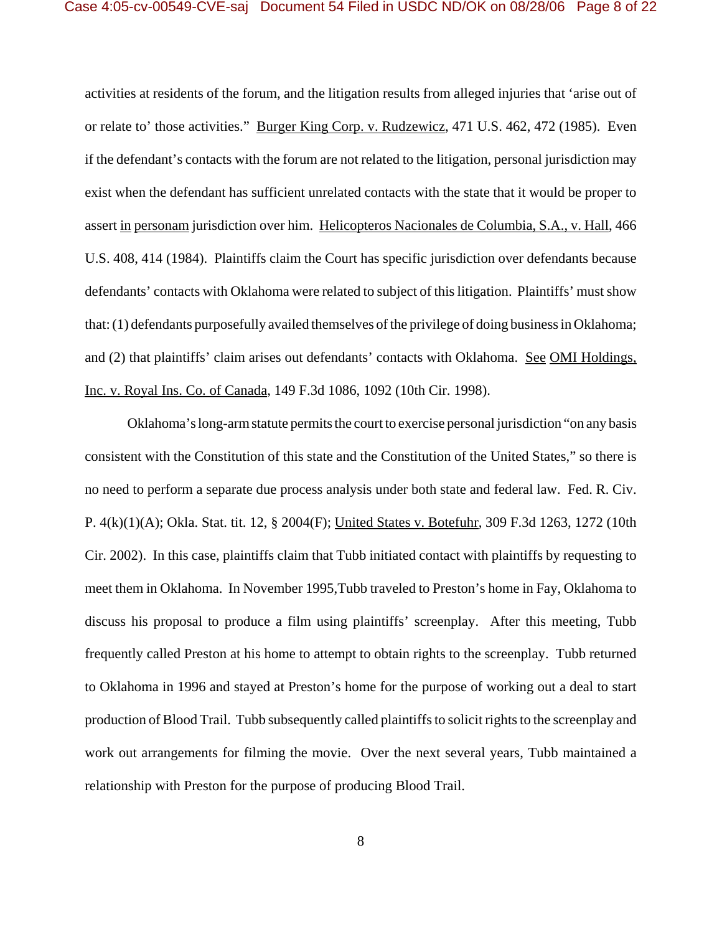activities at residents of the forum, and the litigation results from alleged injuries that 'arise out of or relate to' those activities." Burger King Corp. v. Rudzewicz, 471 U.S. 462, 472 (1985). Even if the defendant's contacts with the forum are not related to the litigation, personal jurisdiction may exist when the defendant has sufficient unrelated contacts with the state that it would be proper to assert in personam jurisdiction over him. Helicopteros Nacionales de Columbia, S.A., v. Hall, 466 U.S. 408, 414 (1984). Plaintiffs claim the Court has specific jurisdiction over defendants because defendants' contacts with Oklahoma were related to subject of this litigation. Plaintiffs' must show that: (1) defendants purposefully availed themselves of the privilege of doing business in Oklahoma; and (2) that plaintiffs' claim arises out defendants' contacts with Oklahoma. See OMI Holdings, Inc. v. Royal Ins. Co. of Canada, 149 F.3d 1086, 1092 (10th Cir. 1998).

Oklahoma's long-arm statute permits the court to exercise personal jurisdiction "on any basis consistent with the Constitution of this state and the Constitution of the United States," so there is no need to perform a separate due process analysis under both state and federal law. Fed. R. Civ. P. 4(k)(1)(A); Okla. Stat. tit. 12, § 2004(F); United States v. Botefuhr, 309 F.3d 1263, 1272 (10th Cir. 2002). In this case, plaintiffs claim that Tubb initiated contact with plaintiffs by requesting to meet them in Oklahoma. In November 1995,Tubb traveled to Preston's home in Fay, Oklahoma to discuss his proposal to produce a film using plaintiffs' screenplay. After this meeting, Tubb frequently called Preston at his home to attempt to obtain rights to the screenplay. Tubb returned to Oklahoma in 1996 and stayed at Preston's home for the purpose of working out a deal to start production of Blood Trail. Tubb subsequently called plaintiffs to solicit rights to the screenplay and work out arrangements for filming the movie. Over the next several years, Tubb maintained a relationship with Preston for the purpose of producing Blood Trail.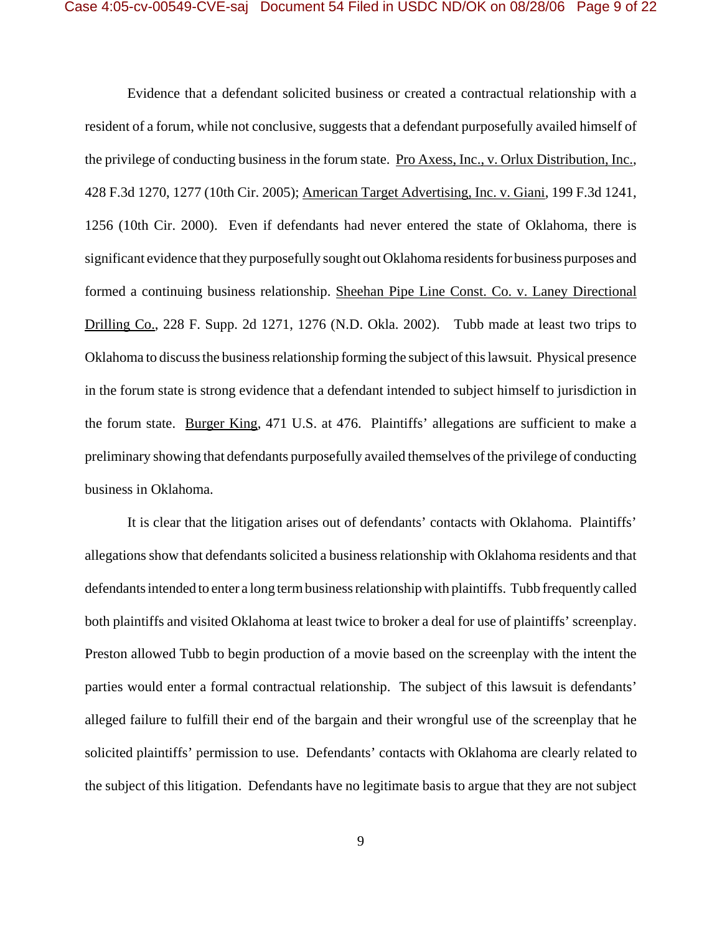Evidence that a defendant solicited business or created a contractual relationship with a resident of a forum, while not conclusive, suggests that a defendant purposefully availed himself of the privilege of conducting business in the forum state. Pro Axess, Inc., v. Orlux Distribution, Inc., 428 F.3d 1270, 1277 (10th Cir. 2005); American Target Advertising, Inc. v. Giani, 199 F.3d 1241, 1256 (10th Cir. 2000). Even if defendants had never entered the state of Oklahoma, there is significant evidence that they purposefully sought out Oklahoma residents for business purposes and formed a continuing business relationship. Sheehan Pipe Line Const. Co. v. Laney Directional Drilling Co., 228 F. Supp. 2d 1271, 1276 (N.D. Okla. 2002). Tubb made at least two trips to Oklahoma to discuss the business relationship forming the subject of this lawsuit. Physical presence in the forum state is strong evidence that a defendant intended to subject himself to jurisdiction in the forum state. Burger King, 471 U.S. at 476. Plaintiffs' allegations are sufficient to make a preliminary showing that defendants purposefully availed themselves of the privilege of conducting business in Oklahoma.

It is clear that the litigation arises out of defendants' contacts with Oklahoma. Plaintiffs' allegations show that defendants solicited a business relationship with Oklahoma residents and that defendants intended to enter a long term business relationship with plaintiffs. Tubb frequently called both plaintiffs and visited Oklahoma at least twice to broker a deal for use of plaintiffs' screenplay. Preston allowed Tubb to begin production of a movie based on the screenplay with the intent the parties would enter a formal contractual relationship. The subject of this lawsuit is defendants' alleged failure to fulfill their end of the bargain and their wrongful use of the screenplay that he solicited plaintiffs' permission to use. Defendants' contacts with Oklahoma are clearly related to the subject of this litigation. Defendants have no legitimate basis to argue that they are not subject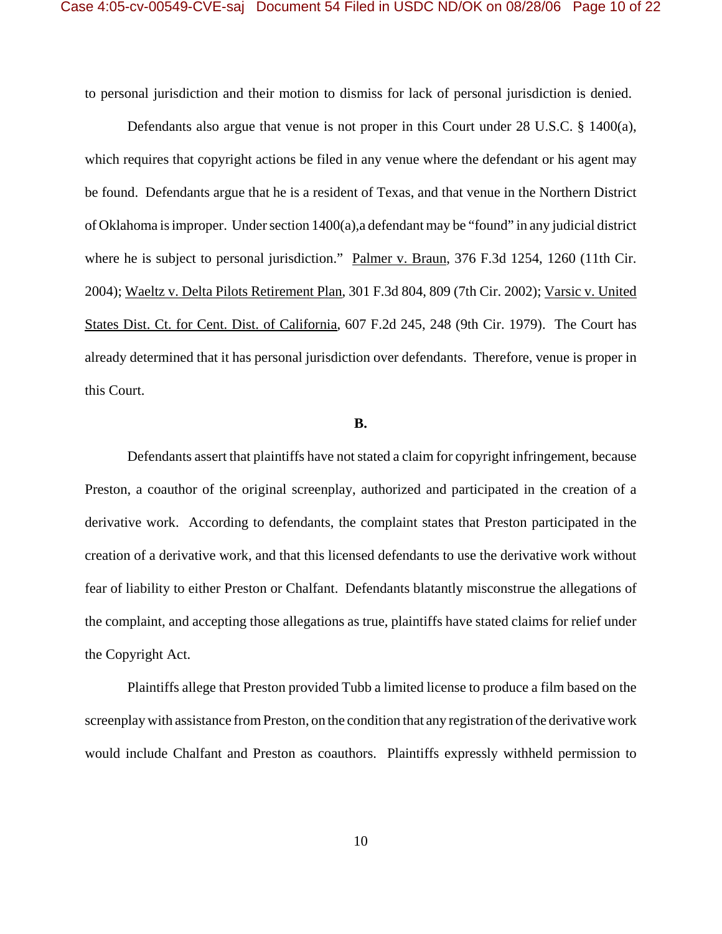to personal jurisdiction and their motion to dismiss for lack of personal jurisdiction is denied.

Defendants also argue that venue is not proper in this Court under 28 U.S.C. § 1400(a), which requires that copyright actions be filed in any venue where the defendant or his agent may be found. Defendants argue that he is a resident of Texas, and that venue in the Northern District of Oklahoma is improper. Under section 1400(a),a defendant may be "found" in any judicial district where he is subject to personal jurisdiction." Palmer v. Braun, 376 F.3d 1254, 1260 (11th Cir. 2004); Waeltz v. Delta Pilots Retirement Plan, 301 F.3d 804, 809 (7th Cir. 2002); Varsic v. United States Dist. Ct. for Cent. Dist. of California, 607 F.2d 245, 248 (9th Cir. 1979). The Court has already determined that it has personal jurisdiction over defendants. Therefore, venue is proper in this Court.

## **B.**

Defendants assert that plaintiffs have not stated a claim for copyright infringement, because Preston, a coauthor of the original screenplay, authorized and participated in the creation of a derivative work. According to defendants, the complaint states that Preston participated in the creation of a derivative work, and that this licensed defendants to use the derivative work without fear of liability to either Preston or Chalfant. Defendants blatantly misconstrue the allegations of the complaint, and accepting those allegations as true, plaintiffs have stated claims for relief under the Copyright Act.

Plaintiffs allege that Preston provided Tubb a limited license to produce a film based on the screenplay with assistance from Preston, on the condition that any registration of the derivative work would include Chalfant and Preston as coauthors. Plaintiffs expressly withheld permission to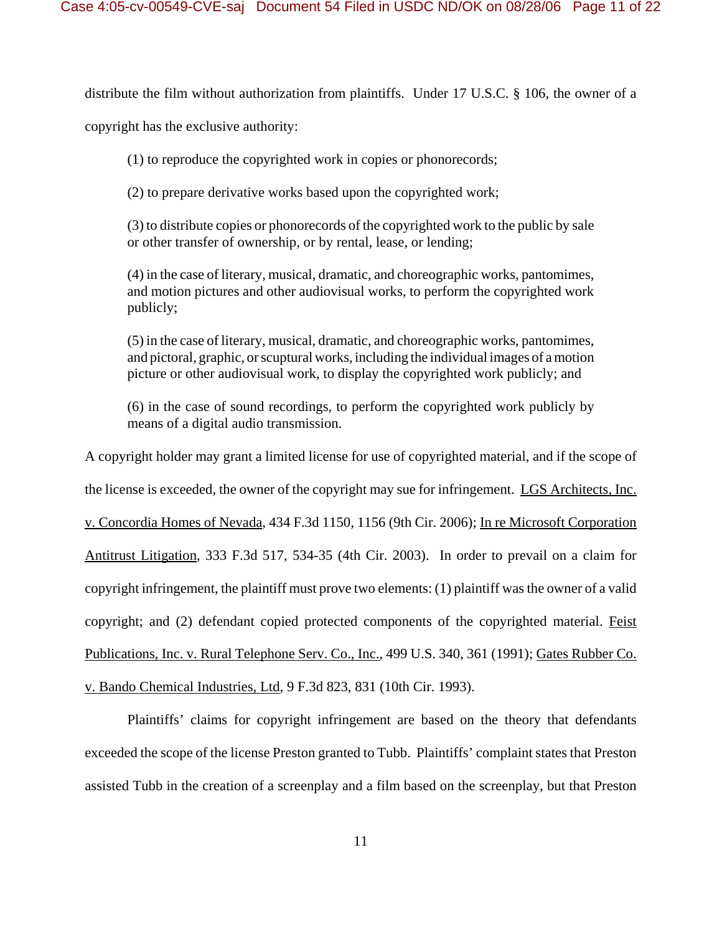distribute the film without authorization from plaintiffs. Under 17 U.S.C. § 106, the owner of a

copyright has the exclusive authority:

(1) to reproduce the copyrighted work in copies or phonorecords;

(2) to prepare derivative works based upon the copyrighted work;

(3) to distribute copies or phonorecords of the copyrighted work to the public by sale or other transfer of ownership, or by rental, lease, or lending;

(4) in the case of literary, musical, dramatic, and choreographic works, pantomimes, and motion pictures and other audiovisual works, to perform the copyrighted work publicly;

(5) in the case of literary, musical, dramatic, and choreographic works, pantomimes, and pictoral, graphic, or scuptural works, including the individual images of a motion picture or other audiovisual work, to display the copyrighted work publicly; and

(6) in the case of sound recordings, to perform the copyrighted work publicly by means of a digital audio transmission.

A copyright holder may grant a limited license for use of copyrighted material, and if the scope of the license is exceeded, the owner of the copyright may sue for infringement. LGS Architects, Inc. v. Concordia Homes of Nevada, 434 F.3d 1150, 1156 (9th Cir. 2006); In re Microsoft Corporation Antitrust Litigation, 333 F.3d 517, 534-35 (4th Cir. 2003). In order to prevail on a claim for copyright infringement, the plaintiff must prove two elements: (1) plaintiff was the owner of a valid copyright; and (2) defendant copied protected components of the copyrighted material. Feist Publications, Inc. v. Rural Telephone Serv. Co., Inc., 499 U.S. 340, 361 (1991); Gates Rubber Co. v. Bando Chemical Industries, Ltd, 9 F.3d 823, 831 (10th Cir. 1993).

Plaintiffs' claims for copyright infringement are based on the theory that defendants exceeded the scope of the license Preston granted to Tubb. Plaintiffs' complaint states that Preston assisted Tubb in the creation of a screenplay and a film based on the screenplay, but that Preston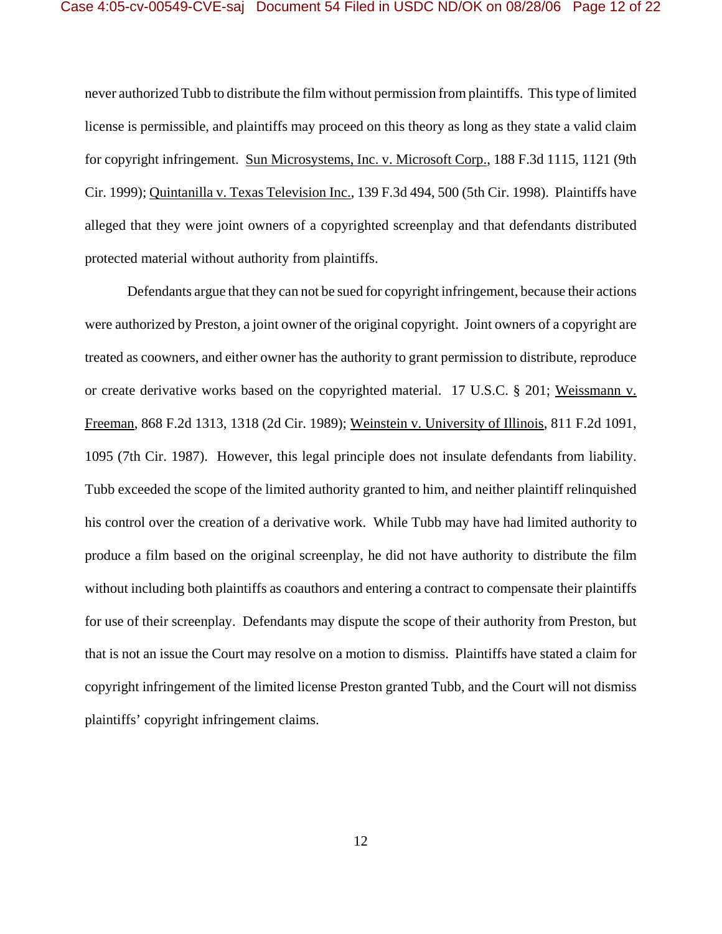never authorized Tubb to distribute the film without permission from plaintiffs. This type of limited license is permissible, and plaintiffs may proceed on this theory as long as they state a valid claim for copyright infringement. Sun Microsystems, Inc. v. Microsoft Corp., 188 F.3d 1115, 1121 (9th Cir. 1999); Quintanilla v. Texas Television Inc., 139 F.3d 494, 500 (5th Cir. 1998). Plaintiffs have alleged that they were joint owners of a copyrighted screenplay and that defendants distributed protected material without authority from plaintiffs.

Defendants argue that they can not be sued for copyright infringement, because their actions were authorized by Preston, a joint owner of the original copyright. Joint owners of a copyright are treated as coowners, and either owner has the authority to grant permission to distribute, reproduce or create derivative works based on the copyrighted material. 17 U.S.C. § 201; Weissmann v. Freeman, 868 F.2d 1313, 1318 (2d Cir. 1989); Weinstein v. University of Illinois, 811 F.2d 1091, 1095 (7th Cir. 1987). However, this legal principle does not insulate defendants from liability. Tubb exceeded the scope of the limited authority granted to him, and neither plaintiff relinquished his control over the creation of a derivative work. While Tubb may have had limited authority to produce a film based on the original screenplay, he did not have authority to distribute the film without including both plaintiffs as coauthors and entering a contract to compensate their plaintiffs for use of their screenplay. Defendants may dispute the scope of their authority from Preston, but that is not an issue the Court may resolve on a motion to dismiss. Plaintiffs have stated a claim for copyright infringement of the limited license Preston granted Tubb, and the Court will not dismiss plaintiffs' copyright infringement claims.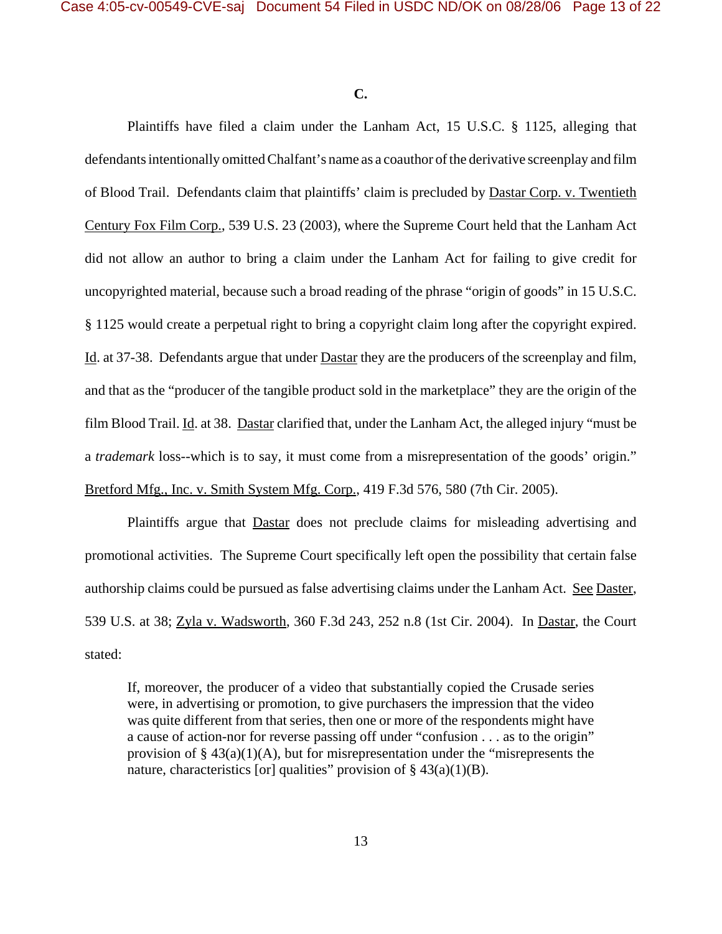**C.**

Plaintiffs have filed a claim under the Lanham Act, 15 U.S.C. § 1125, alleging that defendants intentionally omitted Chalfant's name as a coauthor of the derivative screenplay and film of Blood Trail. Defendants claim that plaintiffs' claim is precluded by Dastar Corp. v. Twentieth Century Fox Film Corp., 539 U.S. 23 (2003), where the Supreme Court held that the Lanham Act did not allow an author to bring a claim under the Lanham Act for failing to give credit for uncopyrighted material, because such a broad reading of the phrase "origin of goods" in 15 U.S.C. § 1125 would create a perpetual right to bring a copyright claim long after the copyright expired. Id. at 37-38. Defendants argue that under Dastar they are the producers of the screenplay and film, and that as the "producer of the tangible product sold in the marketplace" they are the origin of the film Blood Trail. Id. at 38. Dastar clarified that, under the Lanham Act, the alleged injury "must be a *trademark* loss--which is to say, it must come from a misrepresentation of the goods' origin." Bretford Mfg., Inc. v. Smith System Mfg. Corp., 419 F.3d 576, 580 (7th Cir. 2005).

Plaintiffs argue that Dastar does not preclude claims for misleading advertising and promotional activities. The Supreme Court specifically left open the possibility that certain false authorship claims could be pursued as false advertising claims under the Lanham Act. See Daster, 539 U.S. at 38; Zyla v. Wadsworth, 360 F.3d 243, 252 n.8 (1st Cir. 2004). In Dastar, the Court stated:

If, moreover, the producer of a video that substantially copied the Crusade series were, in advertising or promotion, to give purchasers the impression that the video was quite different from that series, then one or more of the respondents might have a cause of action-nor for reverse passing off under "confusion . . . as to the origin" provision of  $\S$  43(a)(1)(A), but for misrepresentation under the "misrepresents the nature, characteristics [or] qualities" provision of  $\S$  43(a)(1)(B).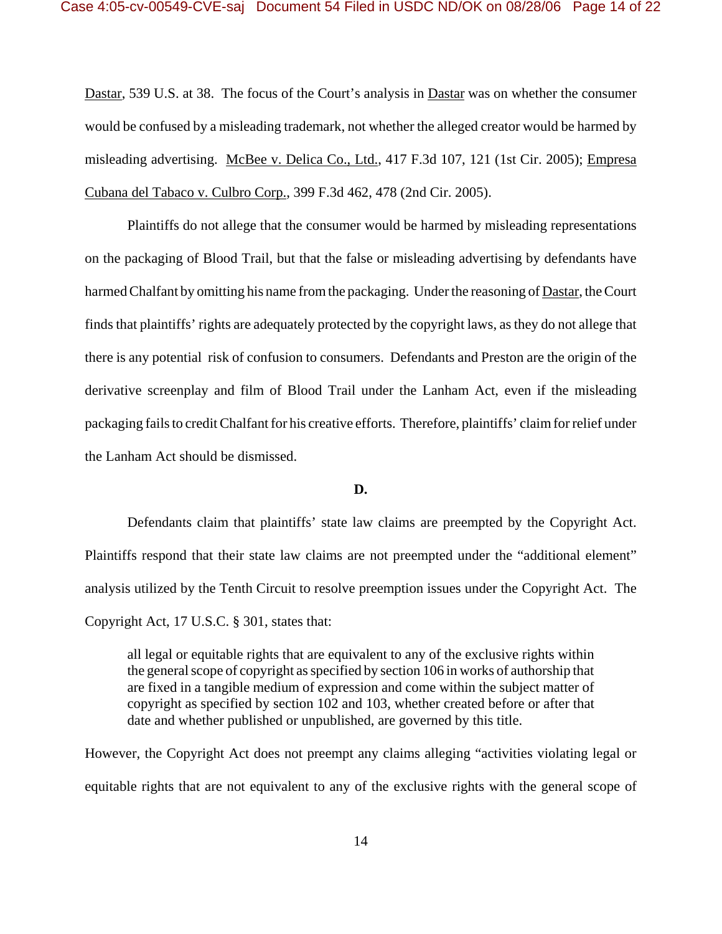Dastar, 539 U.S. at 38. The focus of the Court's analysis in Dastar was on whether the consumer would be confused by a misleading trademark, not whether the alleged creator would be harmed by misleading advertising. McBee v. Delica Co., Ltd., 417 F.3d 107, 121 (1st Cir. 2005); Empresa Cubana del Tabaco v. Culbro Corp., 399 F.3d 462, 478 (2nd Cir. 2005).

Plaintiffs do not allege that the consumer would be harmed by misleading representations on the packaging of Blood Trail, but that the false or misleading advertising by defendants have harmed Chalfant by omitting his name from the packaging. Under the reasoning of **Dastar**, the Court finds that plaintiffs' rights are adequately protected by the copyright laws, as they do not allege that there is any potential risk of confusion to consumers. Defendants and Preston are the origin of the derivative screenplay and film of Blood Trail under the Lanham Act, even if the misleading packaging fails to credit Chalfant for his creative efforts. Therefore, plaintiffs' claim for relief under the Lanham Act should be dismissed.

#### **D.**

Defendants claim that plaintiffs' state law claims are preempted by the Copyright Act. Plaintiffs respond that their state law claims are not preempted under the "additional element" analysis utilized by the Tenth Circuit to resolve preemption issues under the Copyright Act. The Copyright Act, 17 U.S.C. § 301, states that:

all legal or equitable rights that are equivalent to any of the exclusive rights within the general scope of copyright as specified by section 106 in works of authorship that are fixed in a tangible medium of expression and come within the subject matter of copyright as specified by section 102 and 103, whether created before or after that date and whether published or unpublished, are governed by this title.

However, the Copyright Act does not preempt any claims alleging "activities violating legal or equitable rights that are not equivalent to any of the exclusive rights with the general scope of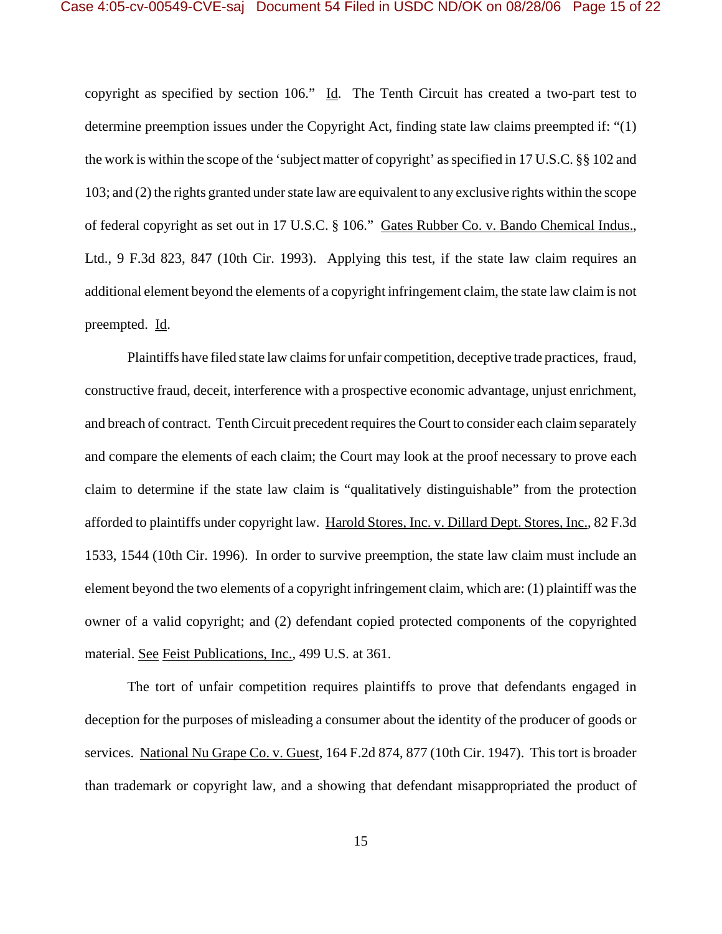copyright as specified by section 106." Id. The Tenth Circuit has created a two-part test to determine preemption issues under the Copyright Act, finding state law claims preempted if: "(1) the work is within the scope of the 'subject matter of copyright' as specified in 17 U.S.C. §§ 102 and 103; and (2) the rights granted under state law are equivalent to any exclusive rights within the scope of federal copyright as set out in 17 U.S.C. § 106." Gates Rubber Co. v. Bando Chemical Indus., Ltd., 9 F.3d 823, 847 (10th Cir. 1993). Applying this test, if the state law claim requires an additional element beyond the elements of a copyright infringement claim, the state law claim is not preempted. Id.

Plaintiffs have filed state law claims for unfair competition, deceptive trade practices, fraud, constructive fraud, deceit, interference with a prospective economic advantage, unjust enrichment, and breach of contract. Tenth Circuit precedent requires the Court to consider each claim separately and compare the elements of each claim; the Court may look at the proof necessary to prove each claim to determine if the state law claim is "qualitatively distinguishable" from the protection afforded to plaintiffs under copyright law. Harold Stores, Inc. v. Dillard Dept. Stores, Inc., 82 F.3d 1533, 1544 (10th Cir. 1996). In order to survive preemption, the state law claim must include an element beyond the two elements of a copyright infringement claim, which are: (1) plaintiff was the owner of a valid copyright; and (2) defendant copied protected components of the copyrighted material. See Feist Publications, Inc., 499 U.S. at 361.

The tort of unfair competition requires plaintiffs to prove that defendants engaged in deception for the purposes of misleading a consumer about the identity of the producer of goods or services. National Nu Grape Co. v. Guest, 164 F.2d 874, 877 (10th Cir. 1947). This tort is broader than trademark or copyright law, and a showing that defendant misappropriated the product of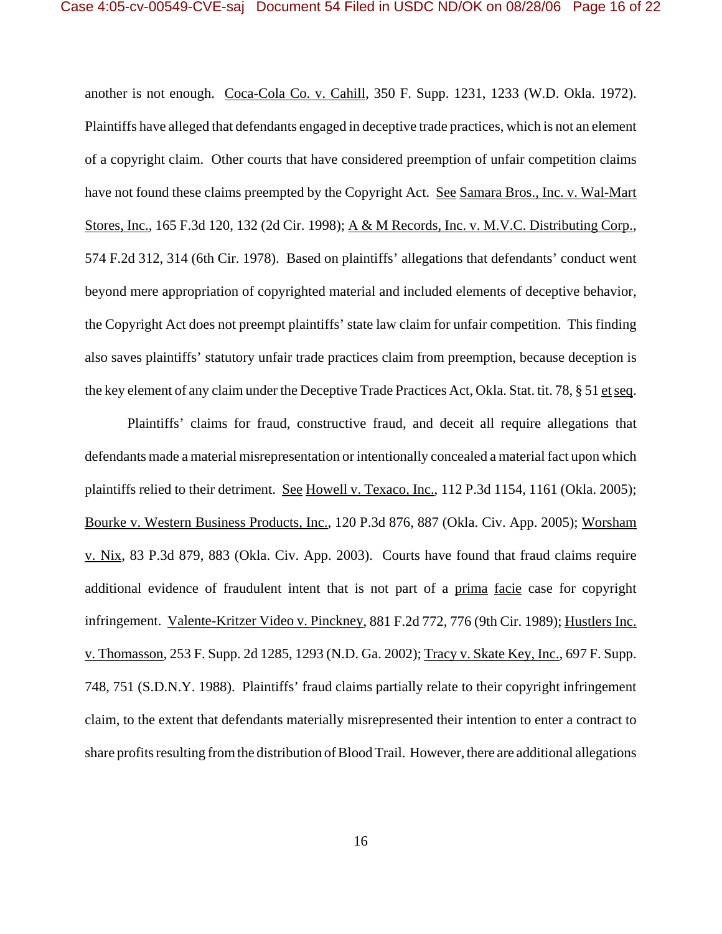another is not enough. Coca-Cola Co. v. Cahill, 350 F. Supp. 1231, 1233 (W.D. Okla. 1972). Plaintiffs have alleged that defendants engaged in deceptive trade practices, which is not an element of a copyright claim. Other courts that have considered preemption of unfair competition claims have not found these claims preempted by the Copyright Act. See Samara Bros., Inc. v. Wal-Mart Stores, Inc., 165 F.3d 120, 132 (2d Cir. 1998); A & M Records, Inc. v. M.V.C. Distributing Corp., 574 F.2d 312, 314 (6th Cir. 1978). Based on plaintiffs' allegations that defendants' conduct went beyond mere appropriation of copyrighted material and included elements of deceptive behavior, the Copyright Act does not preempt plaintiffs' state law claim for unfair competition. This finding also saves plaintiffs' statutory unfair trade practices claim from preemption, because deception is the key element of any claim under the Deceptive Trade Practices Act, Okla. Stat. tit. 78, § 51 et seq.

Plaintiffs' claims for fraud, constructive fraud, and deceit all require allegations that defendants made a material misrepresentation or intentionally concealed a material fact upon which plaintiffs relied to their detriment. See Howell v. Texaco, Inc., 112 P.3d 1154, 1161 (Okla. 2005); Bourke v. Western Business Products, Inc., 120 P.3d 876, 887 (Okla. Civ. App. 2005); Worsham v. Nix, 83 P.3d 879, 883 (Okla. Civ. App. 2003). Courts have found that fraud claims require additional evidence of fraudulent intent that is not part of a prima facie case for copyright infringement. Valente-Kritzer Video v. Pinckney, 881 F.2d 772, 776 (9th Cir. 1989); Hustlers Inc. v. Thomasson, 253 F. Supp. 2d 1285, 1293 (N.D. Ga. 2002); Tracy v. Skate Key, Inc., 697 F. Supp. 748, 751 (S.D.N.Y. 1988). Plaintiffs' fraud claims partially relate to their copyright infringement claim, to the extent that defendants materially misrepresented their intention to enter a contract to share profits resulting from the distribution of Blood Trail. However, there are additional allegations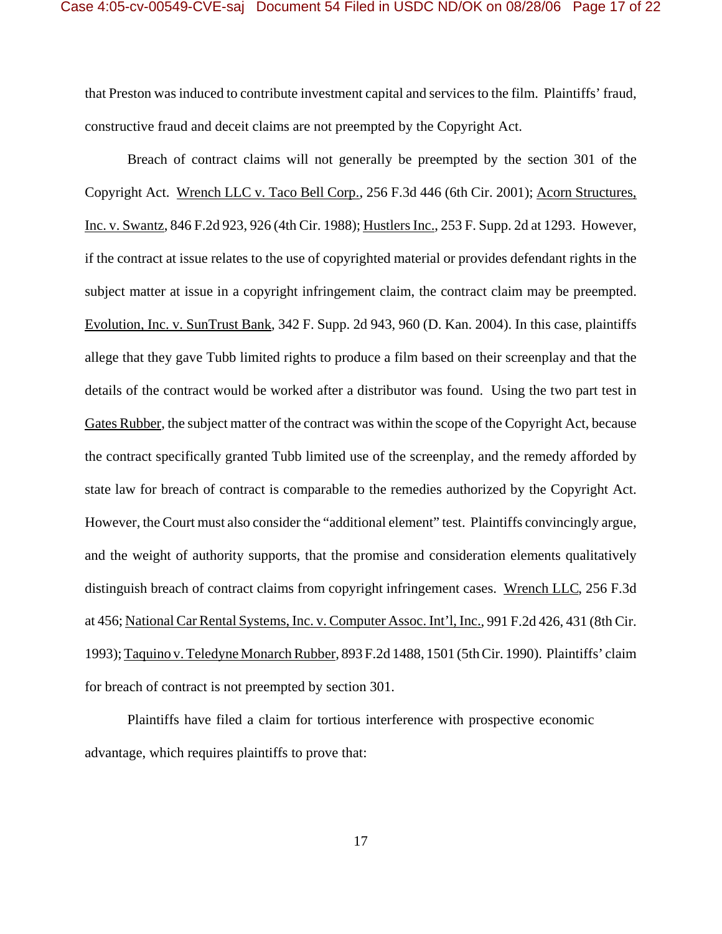that Preston was induced to contribute investment capital and services to the film. Plaintiffs' fraud, constructive fraud and deceit claims are not preempted by the Copyright Act.

Breach of contract claims will not generally be preempted by the section 301 of the Copyright Act. Wrench LLC v. Taco Bell Corp., 256 F.3d 446 (6th Cir. 2001); Acorn Structures, Inc. v. Swantz, 846 F.2d 923, 926 (4th Cir. 1988); Hustlers Inc., 253 F. Supp. 2d at 1293. However, if the contract at issue relates to the use of copyrighted material or provides defendant rights in the subject matter at issue in a copyright infringement claim, the contract claim may be preempted. Evolution, Inc. v. SunTrust Bank, 342 F. Supp. 2d 943, 960 (D. Kan. 2004). In this case, plaintiffs allege that they gave Tubb limited rights to produce a film based on their screenplay and that the details of the contract would be worked after a distributor was found. Using the two part test in Gates Rubber, the subject matter of the contract was within the scope of the Copyright Act, because the contract specifically granted Tubb limited use of the screenplay, and the remedy afforded by state law for breach of contract is comparable to the remedies authorized by the Copyright Act. However, the Court must also consider the "additional element" test. Plaintiffs convincingly argue, and the weight of authority supports, that the promise and consideration elements qualitatively distinguish breach of contract claims from copyright infringement cases. Wrench LLC, 256 F.3d at 456; National Car Rental Systems, Inc. v. Computer Assoc. Int'l, Inc., 991 F.2d 426, 431 (8th Cir. 1993); Taquino v. Teledyne Monarch Rubber, 893 F.2d 1488, 1501 (5th Cir. 1990). Plaintiffs' claim for breach of contract is not preempted by section 301.

Plaintiffs have filed a claim for tortious interference with prospective economic advantage, which requires plaintiffs to prove that: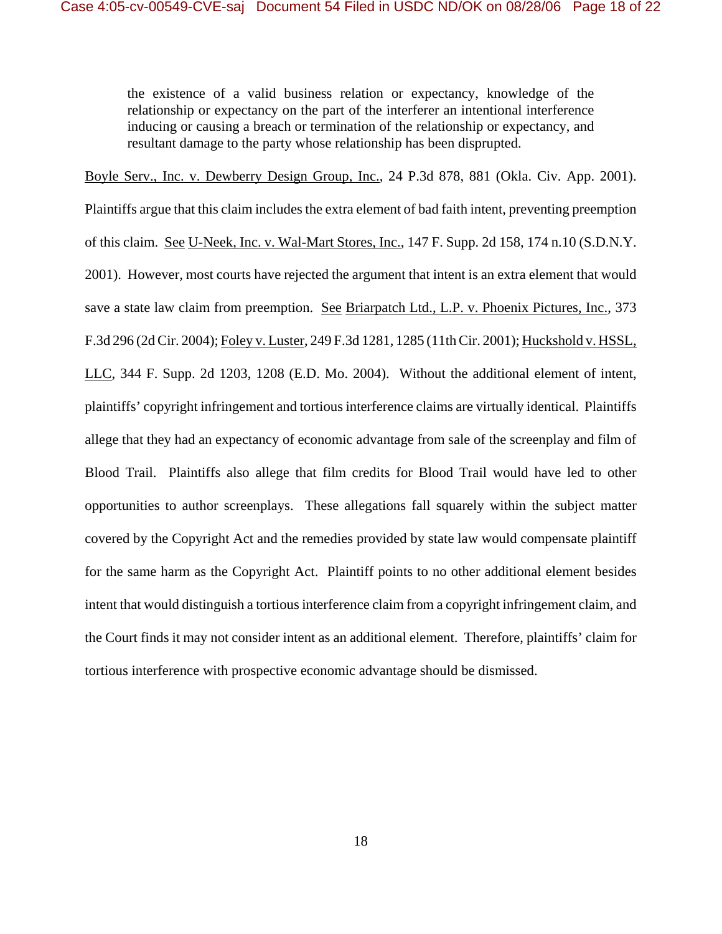the existence of a valid business relation or expectancy, knowledge of the relationship or expectancy on the part of the interferer an intentional interference inducing or causing a breach or termination of the relationship or expectancy, and resultant damage to the party whose relationship has been disprupted.

Boyle Serv., Inc. v. Dewberry Design Group, Inc., 24 P.3d 878, 881 (Okla. Civ. App. 2001).

Plaintiffs argue that this claim includes the extra element of bad faith intent, preventing preemption of this claim. See U-Neek, Inc. v. Wal-Mart Stores, Inc., 147 F. Supp. 2d 158, 174 n.10 (S.D.N.Y. 2001). However, most courts have rejected the argument that intent is an extra element that would save a state law claim from preemption. See Briarpatch Ltd., L.P. v. Phoenix Pictures, Inc., 373 F.3d 296 (2d Cir. 2004); Foley v. Luster, 249 F.3d 1281, 1285 (11th Cir. 2001); Huckshold v. HSSL, LLC, 344 F. Supp. 2d 1203, 1208 (E.D. Mo. 2004). Without the additional element of intent, plaintiffs' copyright infringement and tortious interference claims are virtually identical. Plaintiffs allege that they had an expectancy of economic advantage from sale of the screenplay and film of Blood Trail. Plaintiffs also allege that film credits for Blood Trail would have led to other opportunities to author screenplays. These allegations fall squarely within the subject matter covered by the Copyright Act and the remedies provided by state law would compensate plaintiff for the same harm as the Copyright Act. Plaintiff points to no other additional element besides intent that would distinguish a tortious interference claim from a copyright infringement claim, and the Court finds it may not consider intent as an additional element. Therefore, plaintiffs' claim for tortious interference with prospective economic advantage should be dismissed.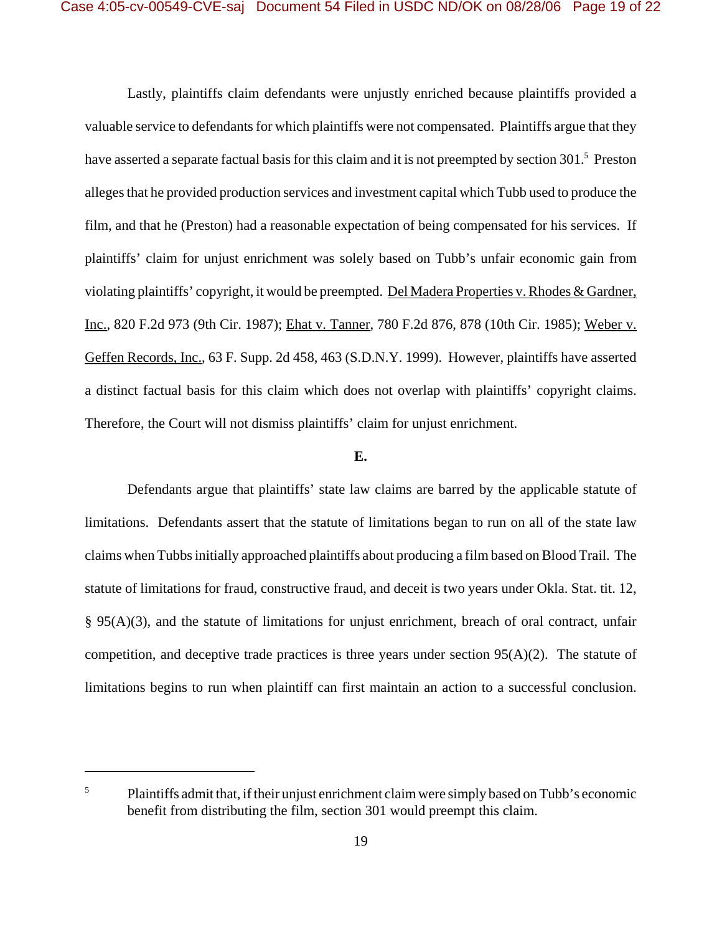Lastly, plaintiffs claim defendants were unjustly enriched because plaintiffs provided a valuable service to defendants for which plaintiffs were not compensated. Plaintiffs argue that they have asserted a separate factual basis for this claim and it is not preempted by section 301.<sup>5</sup> Preston alleges that he provided production services and investment capital which Tubb used to produce the film, and that he (Preston) had a reasonable expectation of being compensated for his services. If plaintiffs' claim for unjust enrichment was solely based on Tubb's unfair economic gain from violating plaintiffs' copyright, it would be preempted. Del Madera Properties v. Rhodes & Gardner, Inc., 820 F.2d 973 (9th Cir. 1987); Ehat v. Tanner, 780 F.2d 876, 878 (10th Cir. 1985); Weber v. Geffen Records, Inc., 63 F. Supp. 2d 458, 463 (S.D.N.Y. 1999). However, plaintiffs have asserted a distinct factual basis for this claim which does not overlap with plaintiffs' copyright claims. Therefore, the Court will not dismiss plaintiffs' claim for unjust enrichment.

## **E.**

Defendants argue that plaintiffs' state law claims are barred by the applicable statute of limitations. Defendants assert that the statute of limitations began to run on all of the state law claims when Tubbs initially approached plaintiffs about producing a film based on Blood Trail. The statute of limitations for fraud, constructive fraud, and deceit is two years under Okla. Stat. tit. 12,  $\S$  95(A)(3), and the statute of limitations for unjust enrichment, breach of oral contract, unfair competition, and deceptive trade practices is three years under section  $95(A)(2)$ . The statute of limitations begins to run when plaintiff can first maintain an action to a successful conclusion.

<sup>&</sup>lt;sup>5</sup> Plaintiffs admit that, if their unjust enrichment claim were simply based on Tubb's economic benefit from distributing the film, section 301 would preempt this claim.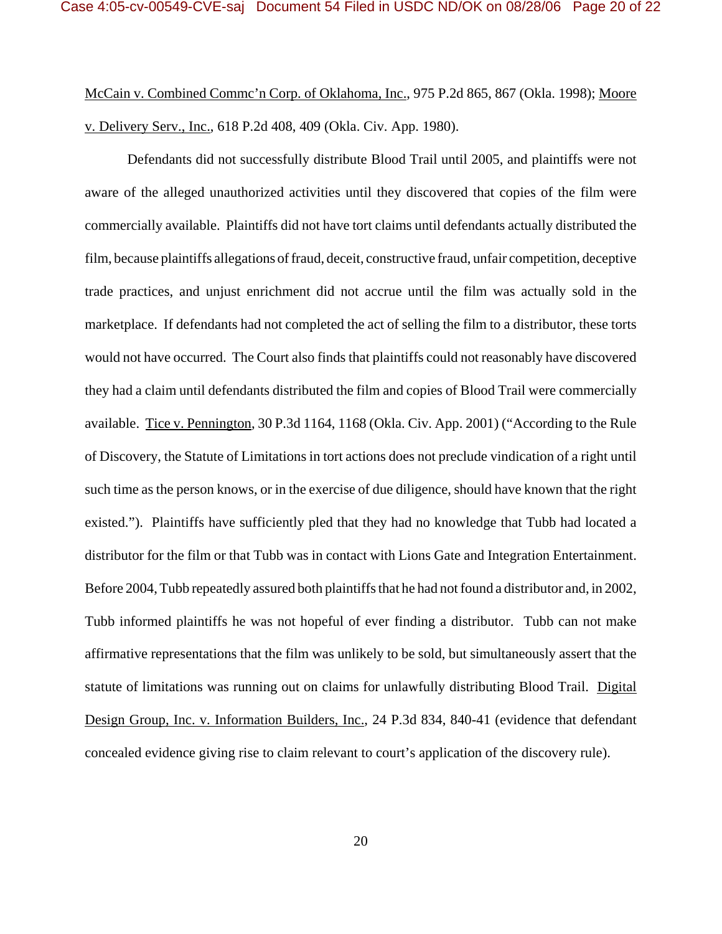McCain v. Combined Commc'n Corp. of Oklahoma, Inc., 975 P.2d 865, 867 (Okla. 1998); Moore v. Delivery Serv., Inc., 618 P.2d 408, 409 (Okla. Civ. App. 1980).

Defendants did not successfully distribute Blood Trail until 2005, and plaintiffs were not aware of the alleged unauthorized activities until they discovered that copies of the film were commercially available. Plaintiffs did not have tort claims until defendants actually distributed the film, because plaintiffs allegations of fraud, deceit, constructive fraud, unfair competition, deceptive trade practices, and unjust enrichment did not accrue until the film was actually sold in the marketplace. If defendants had not completed the act of selling the film to a distributor, these torts would not have occurred. The Court also finds that plaintiffs could not reasonably have discovered they had a claim until defendants distributed the film and copies of Blood Trail were commercially available. Tice v. Pennington, 30 P.3d 1164, 1168 (Okla. Civ. App. 2001) ("According to the Rule of Discovery, the Statute of Limitations in tort actions does not preclude vindication of a right until such time as the person knows, or in the exercise of due diligence, should have known that the right existed."). Plaintiffs have sufficiently pled that they had no knowledge that Tubb had located a distributor for the film or that Tubb was in contact with Lions Gate and Integration Entertainment. Before 2004, Tubb repeatedly assured both plaintiffs that he had not found a distributor and, in 2002, Tubb informed plaintiffs he was not hopeful of ever finding a distributor. Tubb can not make affirmative representations that the film was unlikely to be sold, but simultaneously assert that the statute of limitations was running out on claims for unlawfully distributing Blood Trail. Digital Design Group, Inc. v. Information Builders, Inc., 24 P.3d 834, 840-41 (evidence that defendant concealed evidence giving rise to claim relevant to court's application of the discovery rule).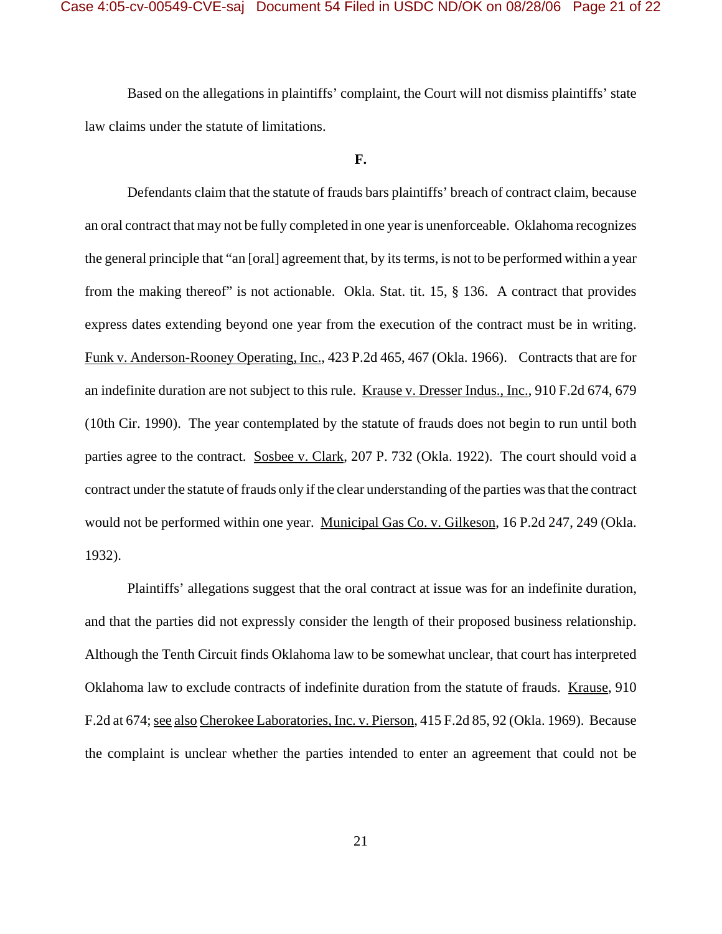Based on the allegations in plaintiffs' complaint, the Court will not dismiss plaintiffs' state law claims under the statute of limitations.

#### **F.**

Defendants claim that the statute of frauds bars plaintiffs' breach of contract claim, because an oral contract that may not be fully completed in one year is unenforceable. Oklahoma recognizes the general principle that "an [oral] agreement that, by its terms, is not to be performed within a year from the making thereof" is not actionable. Okla. Stat. tit. 15, § 136. A contract that provides express dates extending beyond one year from the execution of the contract must be in writing. Funk v. Anderson-Rooney Operating, Inc., 423 P.2d 465, 467 (Okla. 1966). Contracts that are for an indefinite duration are not subject to this rule. Krause v. Dresser Indus., Inc., 910 F.2d 674, 679 (10th Cir. 1990). The year contemplated by the statute of frauds does not begin to run until both parties agree to the contract. Sosbee v. Clark, 207 P. 732 (Okla. 1922). The court should void a contract under the statute of frauds only if the clear understanding of the parties was that the contract would not be performed within one year. Municipal Gas Co. v. Gilkeson, 16 P.2d 247, 249 (Okla. 1932).

Plaintiffs' allegations suggest that the oral contract at issue was for an indefinite duration, and that the parties did not expressly consider the length of their proposed business relationship. Although the Tenth Circuit finds Oklahoma law to be somewhat unclear, that court has interpreted Oklahoma law to exclude contracts of indefinite duration from the statute of frauds. Krause, 910 F.2d at 674; see also Cherokee Laboratories, Inc. v. Pierson, 415 F.2d 85, 92 (Okla. 1969). Because the complaint is unclear whether the parties intended to enter an agreement that could not be